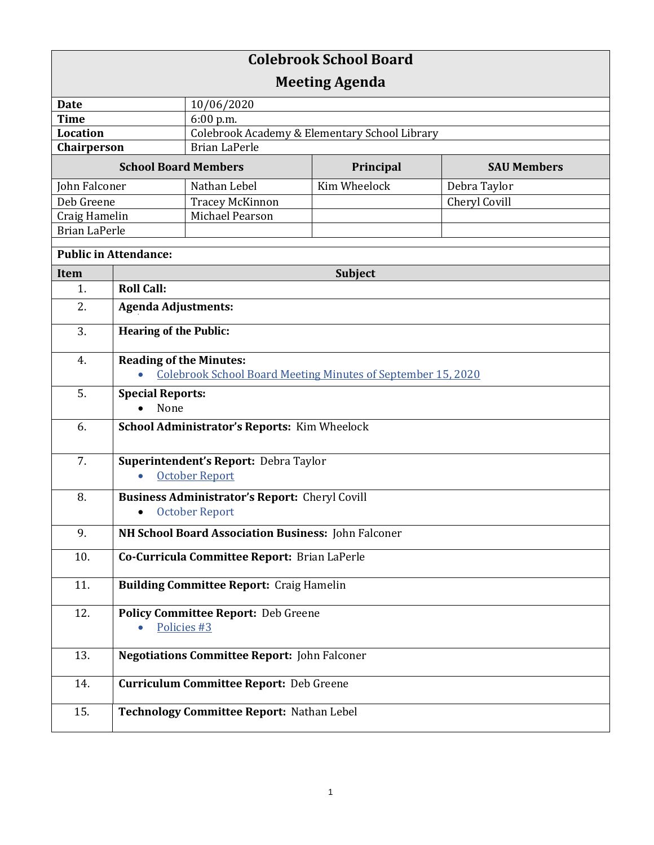| <b>Colebrook School Board</b> |                                                                |                                                                     |              |                    |  |
|-------------------------------|----------------------------------------------------------------|---------------------------------------------------------------------|--------------|--------------------|--|
| <b>Meeting Agenda</b>         |                                                                |                                                                     |              |                    |  |
| <b>Date</b>                   |                                                                | 10/06/2020                                                          |              |                    |  |
| <b>Time</b>                   |                                                                | 6:00 p.m.                                                           |              |                    |  |
| <b>Location</b>               |                                                                | Colebrook Academy & Elementary School Library                       |              |                    |  |
| Chairperson                   |                                                                | <b>Brian LaPerle</b>                                                |              |                    |  |
| <b>School Board Members</b>   |                                                                |                                                                     | Principal    | <b>SAU Members</b> |  |
| John Falconer                 |                                                                | Nathan Lebel                                                        | Kim Wheelock | Debra Taylor       |  |
| Deb Greene                    |                                                                | <b>Tracey McKinnon</b>                                              |              | Cheryl Covill      |  |
| Craig Hamelin                 |                                                                | Michael Pearson                                                     |              |                    |  |
| <b>Brian LaPerle</b>          |                                                                |                                                                     |              |                    |  |
| <b>Public in Attendance:</b>  |                                                                |                                                                     |              |                    |  |
| Item                          | <b>Subject</b>                                                 |                                                                     |              |                    |  |
| 1.                            | <b>Roll Call:</b>                                              |                                                                     |              |                    |  |
| 2.                            | <b>Agenda Adjustments:</b>                                     |                                                                     |              |                    |  |
| 3.                            | <b>Hearing of the Public:</b>                                  |                                                                     |              |                    |  |
| 4.                            | <b>Reading of the Minutes:</b>                                 |                                                                     |              |                    |  |
|                               |                                                                | <b>Colebrook School Board Meeting Minutes of September 15, 2020</b> |              |                    |  |
| 5.                            | <b>Special Reports:</b><br>None                                |                                                                     |              |                    |  |
| 6.                            | School Administrator's Reports: Kim Wheelock                   |                                                                     |              |                    |  |
| 7.                            | Superintendent's Report: Debra Taylor<br><b>October Report</b> |                                                                     |              |                    |  |
| 8.                            | <b>Business Administrator's Report: Cheryl Covill</b>          |                                                                     |              |                    |  |
|                               | <b>October Report</b><br>$\bullet$                             |                                                                     |              |                    |  |
| 9.                            | NH School Board Association Business: John Falconer            |                                                                     |              |                    |  |
| 10.                           | Co-Curricula Committee Report: Brian LaPerle                   |                                                                     |              |                    |  |
| 11.                           | <b>Building Committee Report: Craig Hamelin</b>                |                                                                     |              |                    |  |
| 12.                           | <b>Policy Committee Report: Deb Greene</b><br>Policies #3      |                                                                     |              |                    |  |
| 13.                           | <b>Negotiations Committee Report: John Falconer</b>            |                                                                     |              |                    |  |
| 14.                           | <b>Curriculum Committee Report: Deb Greene</b>                 |                                                                     |              |                    |  |
| 15.                           |                                                                | Technology Committee Report: Nathan Lebel                           |              |                    |  |